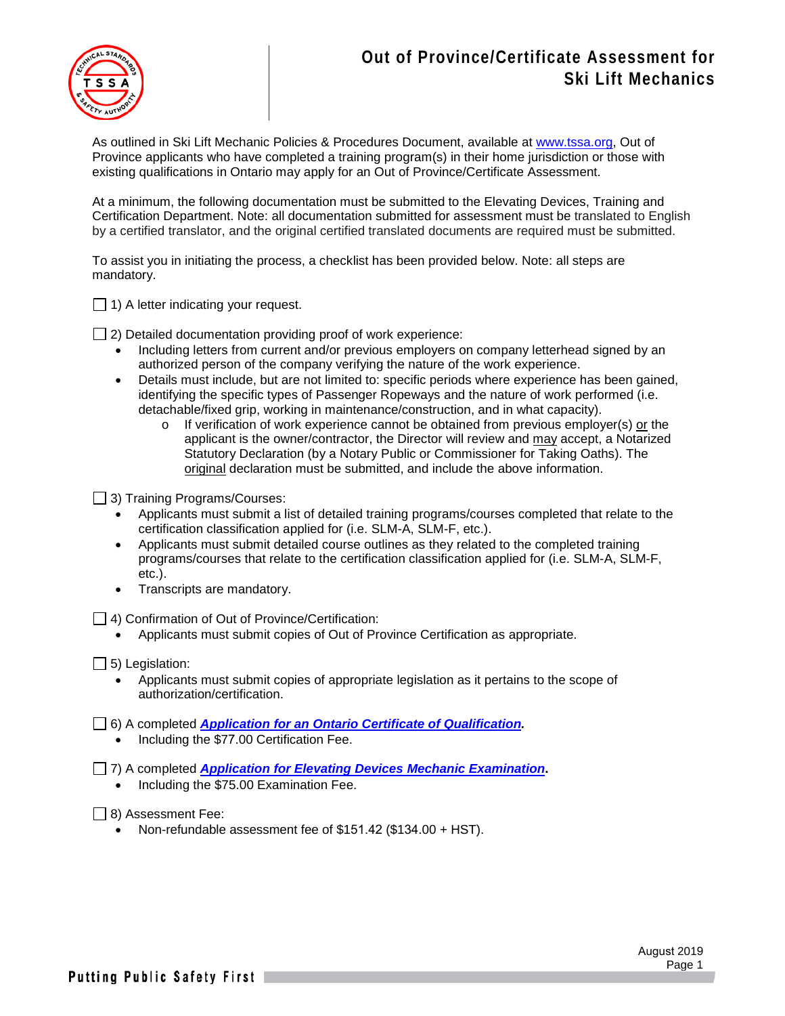## **Out of Province/Certificate Assessment for Ski Lift Mechanics**



As outlined in Ski Lift Mechanic Policies & Procedures Document, available at [www.tssa.org,](http://www.tssa.org/) Out of Province applicants who have completed a training program(s) in their home jurisdiction or those with existing qualifications in Ontario may apply for an Out of Province/Certificate Assessment.

At a minimum, the following documentation must be submitted to the Elevating Devices, Training and Certification Department. Note: all documentation submitted for assessment must be translated to English by a certified translator, and the original certified translated documents are required must be submitted.

To assist you in initiating the process, a checklist has been provided below. Note: all steps are mandatory.

 $\Box$  1) A letter indicating your request.

 $\Box$  2) Detailed documentation providing proof of work experience:

- Including letters from current and/or previous employers on company letterhead signed by an authorized person of the company verifying the nature of the work experience.
- Details must include, but are not limited to: specific periods where experience has been gained, identifying the specific types of Passenger Ropeways and the nature of work performed (i.e. detachable/fixed grip, working in maintenance/construction, and in what capacity).
	- o If verification of work experience cannot be obtained from previous employer(s) or the applicant is the owner/contractor, the Director will review and may accept, a Notarized Statutory Declaration (by a Notary Public or Commissioner for Taking Oaths). The original declaration must be submitted, and include the above information.

□ 3) Training Programs/Courses:

- Applicants must submit a list of detailed training programs/courses completed that relate to the certification classification applied for (i.e. SLM-A, SLM-F, etc.).
- Applicants must submit detailed course outlines as they related to the completed training programs/courses that relate to the certification classification applied for (i.e. SLM-A, SLM-F, etc.).
- Transcripts are mandatory.

4) Confirmation of Out of Province/Certification:

• Applicants must submit copies of Out of Province Certification as appropriate.

 $\Box$  5) Legislation:

• Applicants must submit copies of appropriate legislation as it pertains to the scope of authorization/certification.

6) A completed *[Application for an Ontario Certificate of Qualification.](https://www.tssa.org/en/fuels/resources/SkiLiftMechanicApp--2019.pdf)*

• Including the \$77.00 Certification Fee.

7) A completed *[Application for Elevating Devices Mechanic Examination](https://www.tssa.org/en/ski-lifts/resources/Documents/ED-09164-2.pdf)***.**

• Including the \$75.00 Examination Fee.

 $\Box$  8) Assessment Fee:

• Non-refundable assessment fee of \$151.42 (\$134.00 + HST).